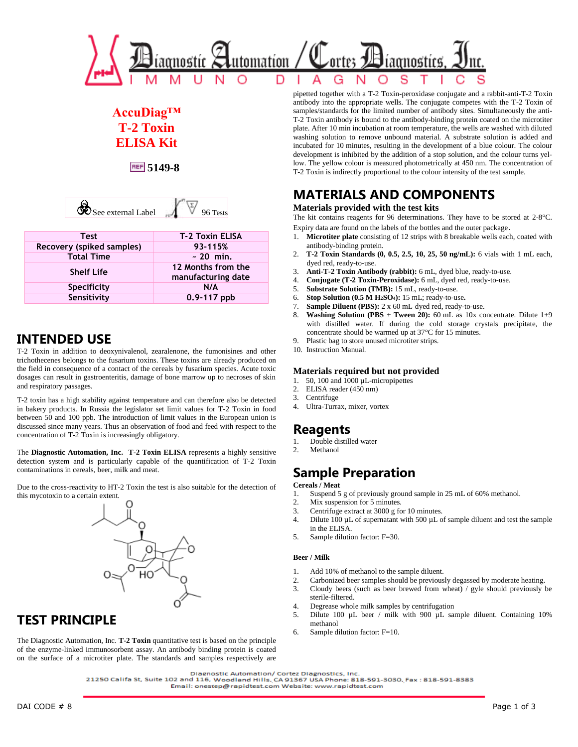

# **AccuDiag™ T-2 Toxin ELISA Kit**

**5149-8**

| ee external Label |  |
|-------------------|--|
|                   |  |

| <b>Test</b>               | <b>T-2 Toxin ELISA</b>                   |
|---------------------------|------------------------------------------|
| Recovery (spiked samples) | 93-115%                                  |
| <b>Total Time</b>         | $\sim$ 20 min.                           |
| <b>Shelf Life</b>         | 12 Months from the<br>manufacturing date |
| <b>Specificity</b>        | N/A                                      |
| Sensitivity               | $0.9 - 117$ ppb                          |

# **INTENDED USE**

T-2 Toxin in addition to deoxynivalenol, zearalenone, the fumonisines and other trichothecenes belongs to the fusarium toxins. These toxins are already produced on the field in consequence of a contact of the cereals by fusarium species. Acute toxic dosages can result in gastroenteritis, damage of bone marrow up to necroses of skin and respiratory passages.

T-2 toxin has a high stability against temperature and can therefore also be detected in bakery products. In Russia the legislator set limit values for T-2 Toxin in food between 50 and 100 ppb. The introduction of limit values in the European union is discussed since many years. Thus an observation of food and feed with respect to the concentration of T-2 Toxin is increasingly obligatory.

The **Diagnostic Automation, Inc. T-2 Toxin ELISA** represents a highly sensitive detection system and is particularly capable of the quantification of T-2 Toxin contaminations in cereals, beer, milk and meat.

Due to the cross-reactivity to HT-2 Toxin the test is also suitable for the detection of this mycotoxin to a certain extent.



# **TEST PRINCIPLE**

The Diagnostic Automation, Inc. **T-2 Toxin** quantitative test is based on the principle of the enzyme-linked immunosorbent assay. An antibody binding protein is coated on the surface of a microtiter plate. The standards and samples respectively are pipetted together with a T-2 Toxin-peroxidase conjugate and a rabbit-anti-T-2 Toxin antibody into the appropriate wells. The conjugate competes with the T-2 Toxin of samples/standards for the limited number of antibody sites. Simultaneously the anti-T-2 Toxin antibody is bound to the antibody-binding protein coated on the microtiter plate. After 10 min incubation at room temperature, the wells are washed with diluted washing solution to remove unbound material. A substrate solution is added and incubated for 10 minutes, resulting in the development of a blue colour. The colour development is inhibited by the addition of a stop solution, and the colour turns yellow. The yellow colour is measured photometrically at 450 nm. The concentration of T-2 Toxin is indirectly proportional to the colour intensity of the test sample.

# **MATERIALS AND COMPONENTS**

### **Materials provided with the test kits**

The kit contains reagents for 96 determinations. They have to be stored at 2-8°C. Expiry data are found on the labels of the bottles and the outer package.

- 1. **Microtiter plate** consisting of 12 strips with 8 breakable wells each, coated with antibody-binding protein.
- 2. **T-2 Toxin Standards (0, 0.5, 2.5, 10, 25, 50 ng/mL):** 6 vials with 1 mL each, dyed red, ready-to-use.
- 3. **Anti-T-2 Toxin Antibody (rabbit):** 6 mL, dyed blue, ready-to-use.
- 4. **Conjugate (T-2 Toxin-Peroxidase):** 6 mL, dyed red, ready-to-use.
- 5. **Substrate Solution (TMB):** 15 mL, ready-to-use.
- 6. **Stop Solution (0.5 M H2SO4):** 15 mL; ready-to-use**.**
- 7. **Sample Diluent (PBS):** 2 x 60 mL dyed red, ready-to-use.
- 8. **Washing Solution (PBS + Tween 20):** 60 mL as 10x concentrate. Dilute 1+9 with distilled water. If during the cold storage crystals precipitate, the concentrate should be warmed up at 37°C for 15 minutes.
- 9. Plastic bag to store unused microtiter strips.
- 10. Instruction Manual.

### **Materials required but not provided**

- 1. 50, 100 and 1000 µL-micropipettes
- 2. ELISA reader (450 nm)
- 3. Centrifuge
- 4. Ultra-Turrax, mixer, vortex

## **Reagents**

- 1. Double distilled water
- 2. Methanol

# **Sample Preparation**

### **Cereals / Meat**

- 1. Suspend 5 g of previously ground sample in 25 mL of 60% methanol.
- 2. Mix suspension for 5 minutes.
- 3. Centrifuge extract at 3000 g for 10 minutes.
- 4. Dilute 100 µL of supernatant with 500 µL of sample diluent and test the sample in the ELISA.
- 5. Sample dilution factor: F=30.

#### **Beer / Milk**

- 1. Add 10% of methanol to the sample diluent.
- 2. Carbonized beer samples should be previously degassed by moderate heating.
- 3. Cloudy beers (such as beer brewed from wheat) / gyle should previously be sterile-filtered.
- 4. Degrease whole milk samples by centrifugation
- 5. Dilute 100 µL beer / milk with 900 µL sample diluent. Containing 10% methanol
- 6. Sample dilution factor: F=10.

21250 Califa St, Suite 102 and 116, Woodland Hills, CA 91367 USA Phone: 818-591-3030, Fax : 818-591-8383 Email: onestep@rapidtest.com Website: www.rapidtest.com

Diagnostic Automation/ Cortez Diagnostics, Inc.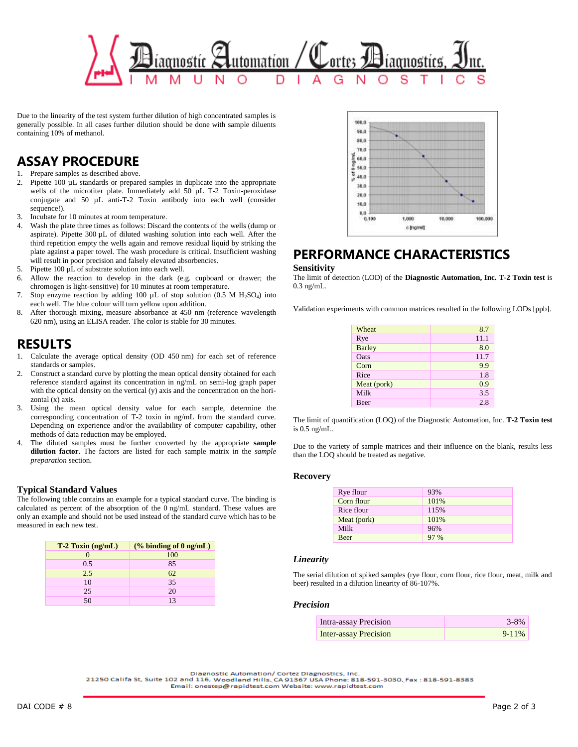

Due to the linearity of the test system further dilution of high concentrated samples is generally possible. In all cases further dilution should be done with sample diluents containing 10% of methanol.

# **ASSAY PROCEDURE**

1. Prepare samples as described above.

- 2. Pipette 100 µL standards or prepared samples in duplicate into the appropriate wells of the microtiter plate. Immediately add 50 µL T-2 Toxin-peroxidase conjugate and 50 µL anti-T-2 Toxin antibody into each well (consider sequence!).
- 3. Incubate for 10 minutes at room temperature.
- 4. Wash the plate three times as follows: Discard the contents of the wells (dump or aspirate). Pipette 300 µL of diluted washing solution into each well. After the third repetition empty the wells again and remove residual liquid by striking the plate against a paper towel. The wash procedure is critical. Insufficient washing will result in poor precision and falsely elevated absorbencies.
- 5. Pipette 100 µL of substrate solution into each well.
- 6. Allow the reaction to develop in the dark (e.g. cupboard or drawer; the chromogen is light-sensitive) for 10 minutes at room temperature.
- 7. Stop enzyme reaction by adding 100  $\mu$ L of stop solution (0.5 M H<sub>2</sub>SO<sub>4</sub>) into each well. The blue colour will turn yellow upon addition.
- 8. After thorough mixing, measure absorbance at 450 nm (reference wavelength 620 nm), using an ELISA reader. The color is stable for 30 minutes.

## **RESULTS**

- 1. Calculate the average optical density (OD 450 nm) for each set of reference standards or samples.
- 2. Construct a standard curve by plotting the mean optical density obtained for each reference standard against its concentration in ng/mL on semi-log graph paper with the optical density on the vertical (y) axis and the concentration on the horizontal (x) axis.
- 3. Using the mean optical density value for each sample, determine the corresponding concentration of T-2 toxin in ng/mL from the standard curve. Depending on experience and/or the availability of computer capability, other methods of data reduction may be employed.
- 4. The diluted samples must be further converted by the appropriate **sample dilution factor**. The factors are listed for each sample matrix in the *sample preparation* section.

### **Typical Standard Values**

The following table contains an example for a typical standard curve. The binding is calculated as percent of the absorption of the 0 ng/mL standard. These values are only an example and should not be used instead of the standard curve which has to be measured in each new test.

| $T-2$ Toxin (ng/mL) | $(\%$ binding of $0$ ng/mL) |
|---------------------|-----------------------------|
|                     | 100                         |
| 0.5                 | 85                          |
| 2.5                 | 62                          |
| 10                  | 35                          |
| 25                  | 20                          |
| $50^{\circ}$        |                             |



## **PERFORMANCE CHARACTERISTICS**

#### **Sensitivity**

The limit of detection (LOD) of the **Diagnostic Automation, Inc. T-2 Toxin test** is 0.3 ng/mL.

Validation experiments with common matrices resulted in the following LODs [ppb].

| Wheat<br>8.7<br>11.1<br>Rye<br><b>Barley</b><br>8.0<br>11.7<br>Oats<br>9.9<br>Corn<br>1.8<br>Rice<br>Meat (pork)<br>0.9<br>Milk<br>3.5<br>2.8<br><b>Beer</b> |  |
|--------------------------------------------------------------------------------------------------------------------------------------------------------------|--|
|                                                                                                                                                              |  |
|                                                                                                                                                              |  |
|                                                                                                                                                              |  |
|                                                                                                                                                              |  |
|                                                                                                                                                              |  |
|                                                                                                                                                              |  |
|                                                                                                                                                              |  |
|                                                                                                                                                              |  |
|                                                                                                                                                              |  |

The limit of quantification (LOQ) of the Diagnostic Automation, Inc. **T-2 Toxin test** is 0.5 ng/mL.

Due to the variety of sample matrices and their influence on the blank, results less than the LOQ should be treated as negative.

### **Recovery**

#### *Linearity*

The serial dilution of spiked samples (rye flour, corn flour, rice flour, meat, milk and beer) resulted in a dilution linearity of 86-107%.

#### *Precision*

| Intra-assay Precision        | $3 - 8\%$  |
|------------------------------|------------|
| <b>Inter-assay Precision</b> | $9 - 11\%$ |

Diagnostic Automation/ Cortez Diagnostics, Inc.

21250 Califa St, Suite 102 and 116, Woodland Hills, CA 91367 USA Phone: 818-591-3030, Fax : 818-591-8383 Email: onestep@rapidtest.com Website: www.rapidtest.com